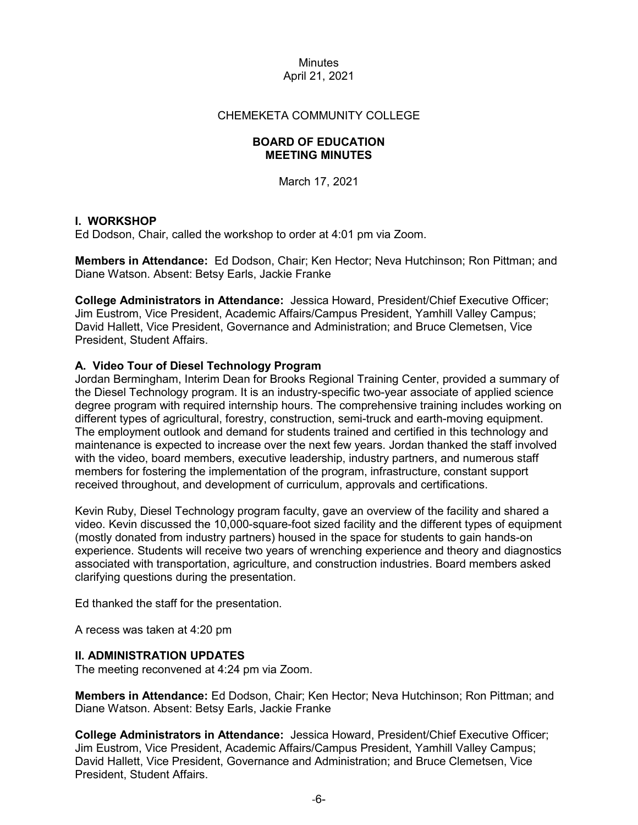## CHEMEKETA COMMUNITY COLLEGE

### **BOARD OF EDUCATION MEETING MINUTES**

March 17, 2021

## **I. WORKSHOP**

Ed Dodson, Chair, called the workshop to order at 4:01 pm via Zoom.

**Members in Attendance:** Ed Dodson, Chair; Ken Hector; Neva Hutchinson; Ron Pittman; and Diane Watson. Absent: Betsy Earls, Jackie Franke

**College Administrators in Attendance:** Jessica Howard, President/Chief Executive Officer; Jim Eustrom, Vice President, Academic Affairs/Campus President, Yamhill Valley Campus; David Hallett, Vice President, Governance and Administration; and Bruce Clemetsen, Vice President, Student Affairs.

## **A. Video Tour of Diesel Technology Program**

Jordan Bermingham, Interim Dean for Brooks Regional Training Center, provided a summary of the Diesel Technology program. It is an industry-specific two-year associate of applied science degree program with required internship hours. The comprehensive training includes working on different types of agricultural, forestry, construction, semi-truck and earth-moving equipment. The employment outlook and demand for students trained and certified in this technology and maintenance is expected to increase over the next few years. Jordan thanked the staff involved with the video, board members, executive leadership, industry partners, and numerous staff members for fostering the implementation of the program, infrastructure, constant support received throughout, and development of curriculum, approvals and certifications.

Kevin Ruby, Diesel Technology program faculty, gave an overview of the facility and shared a video. Kevin discussed the 10,000-square-foot sized facility and the different types of equipment (mostly donated from industry partners) housed in the space for students to gain hands-on experience. Students will receive two years of wrenching experience and theory and diagnostics associated with transportation, agriculture, and construction industries. Board members asked clarifying questions during the presentation.

Ed thanked the staff for the presentation.

A recess was taken at 4:20 pm

#### **II. ADMINISTRATION UPDATES**

The meeting reconvened at 4:24 pm via Zoom.

**Members in Attendance:** Ed Dodson, Chair; Ken Hector; Neva Hutchinson; Ron Pittman; and Diane Watson. Absent: Betsy Earls, Jackie Franke

**College Administrators in Attendance:** Jessica Howard, President/Chief Executive Officer; Jim Eustrom, Vice President, Academic Affairs/Campus President, Yamhill Valley Campus; David Hallett, Vice President, Governance and Administration; and Bruce Clemetsen, Vice President, Student Affairs.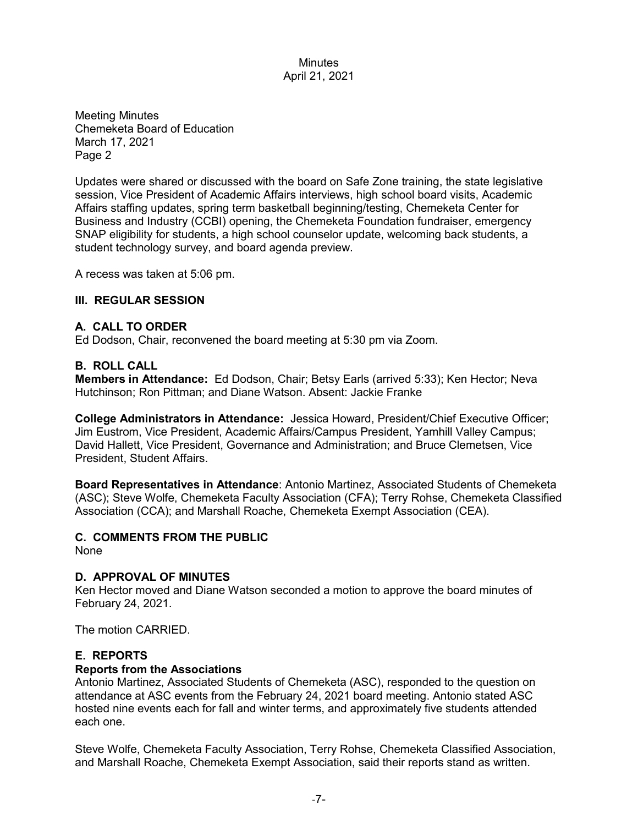Meeting Minutes Chemeketa Board of Education March 17, 2021 Page 2

Updates were shared or discussed with the board on Safe Zone training, the state legislative session, Vice President of Academic Affairs interviews, high school board visits, Academic Affairs staffing updates, spring term basketball beginning/testing, Chemeketa Center for Business and Industry (CCBI) opening, the Chemeketa Foundation fundraiser, emergency SNAP eligibility for students, a high school counselor update, welcoming back students, a student technology survey, and board agenda preview.

A recess was taken at 5:06 pm.

#### **III. REGULAR SESSION**

#### **A. CALL TO ORDER**

Ed Dodson, Chair, reconvened the board meeting at 5:30 pm via Zoom.

#### **B. ROLL CALL**

**Members in Attendance:** Ed Dodson, Chair; Betsy Earls (arrived 5:33); Ken Hector; Neva Hutchinson; Ron Pittman; and Diane Watson. Absent: Jackie Franke

**College Administrators in Attendance:** Jessica Howard, President/Chief Executive Officer; Jim Eustrom, Vice President, Academic Affairs/Campus President, Yamhill Valley Campus; David Hallett, Vice President, Governance and Administration; and Bruce Clemetsen, Vice President, Student Affairs.

**Board Representatives in Attendance**: Antonio Martinez, Associated Students of Chemeketa (ASC); Steve Wolfe, Chemeketa Faculty Association (CFA); Terry Rohse, Chemeketa Classified Association (CCA); and Marshall Roache, Chemeketa Exempt Association (CEA).

# **C. COMMENTS FROM THE PUBLIC**

None

#### **D. APPROVAL OF MINUTES**

Ken Hector moved and Diane Watson seconded a motion to approve the board minutes of February 24, 2021.

The motion CARRIED.

# **E. REPORTS**

#### **Reports from the Associations**

Antonio Martinez, Associated Students of Chemeketa (ASC), responded to the question on attendance at ASC events from the February 24, 2021 board meeting. Antonio stated ASC hosted nine events each for fall and winter terms, and approximately five students attended each one.

Steve Wolfe, Chemeketa Faculty Association, Terry Rohse, Chemeketa Classified Association, and Marshall Roache, Chemeketa Exempt Association, said their reports stand as written.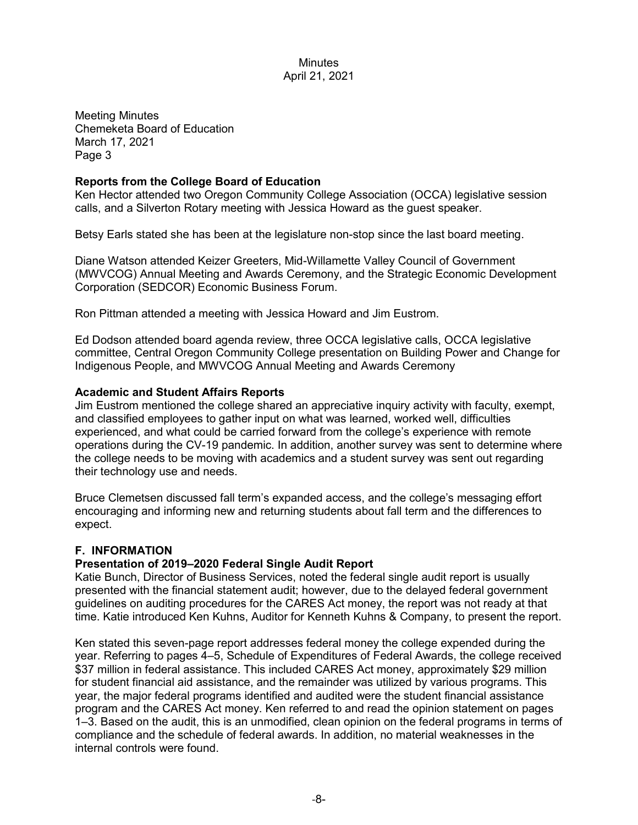Meeting Minutes Chemeketa Board of Education March 17, 2021 Page 3

## **Reports from the College Board of Education**

Ken Hector attended two Oregon Community College Association (OCCA) legislative session calls, and a Silverton Rotary meeting with Jessica Howard as the guest speaker.

Betsy Earls stated she has been at the legislature non-stop since the last board meeting.

Diane Watson attended Keizer Greeters, Mid-Willamette Valley Council of Government (MWVCOG) Annual Meeting and Awards Ceremony, and the Strategic Economic Development Corporation (SEDCOR) Economic Business Forum.

Ron Pittman attended a meeting with Jessica Howard and Jim Eustrom.

Ed Dodson attended board agenda review, three OCCA legislative calls, OCCA legislative committee, Central Oregon Community College presentation on Building Power and Change for Indigenous People, and MWVCOG Annual Meeting and Awards Ceremony

## **Academic and Student Affairs Reports**

Jim Eustrom mentioned the college shared an appreciative inquiry activity with faculty, exempt, and classified employees to gather input on what was learned, worked well, difficulties experienced, and what could be carried forward from the college's experience with remote operations during the CV-19 pandemic. In addition, another survey was sent to determine where the college needs to be moving with academics and a student survey was sent out regarding their technology use and needs.

Bruce Clemetsen discussed fall term's expanded access, and the college's messaging effort encouraging and informing new and returning students about fall term and the differences to expect.

# **F. INFORMATION**

# **Presentation of 2019–2020 Federal Single Audit Report**

Katie Bunch, Director of Business Services, noted the federal single audit report is usually presented with the financial statement audit; however, due to the delayed federal government guidelines on auditing procedures for the CARES Act money, the report was not ready at that time. Katie introduced Ken Kuhns, Auditor for Kenneth Kuhns & Company, to present the report.

Ken stated this seven-page report addresses federal money the college expended during the year. Referring to pages 4–5, Schedule of Expenditures of Federal Awards, the college received \$37 million in federal assistance. This included CARES Act money, approximately \$29 million for student financial aid assistance, and the remainder was utilized by various programs. This year, the major federal programs identified and audited were the student financial assistance program and the CARES Act money. Ken referred to and read the opinion statement on pages 1–3. Based on the audit, this is an unmodified, clean opinion on the federal programs in terms of compliance and the schedule of federal awards. In addition, no material weaknesses in the internal controls were found.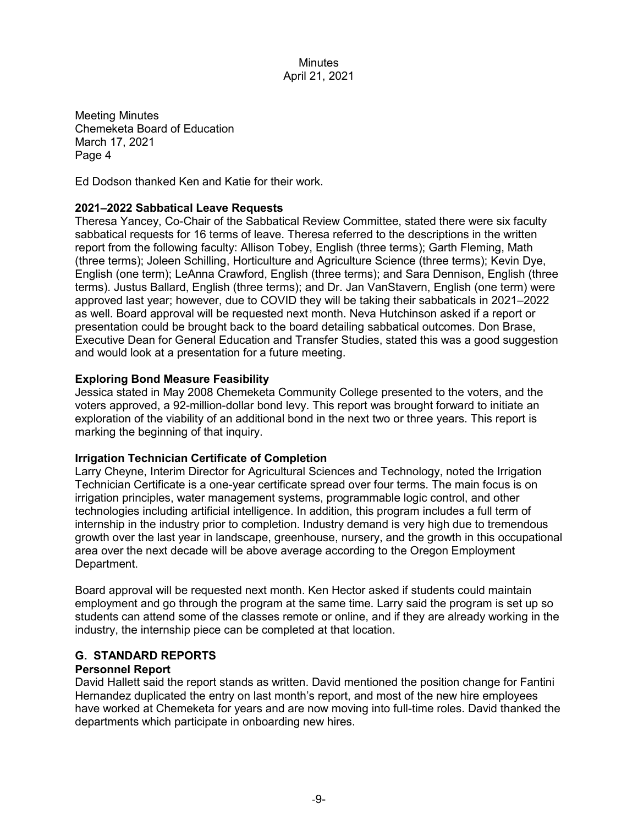Meeting Minutes Chemeketa Board of Education March 17, 2021 Page 4

Ed Dodson thanked Ken and Katie for their work.

#### **2021–2022 Sabbatical Leave Requests**

Theresa Yancey, Co-Chair of the Sabbatical Review Committee, stated there were six faculty sabbatical requests for 16 terms of leave. Theresa referred to the descriptions in the written report from the following faculty: Allison Tobey, English (three terms); Garth Fleming, Math (three terms); Joleen Schilling, Horticulture and Agriculture Science (three terms); Kevin Dye, English (one term); LeAnna Crawford, English (three terms); and Sara Dennison, English (three terms). Justus Ballard, English (three terms); and Dr. Jan VanStavern, English (one term) were approved last year; however, due to COVID they will be taking their sabbaticals in 2021–2022 as well. Board approval will be requested next month. Neva Hutchinson asked if a report or presentation could be brought back to the board detailing sabbatical outcomes. Don Brase, Executive Dean for General Education and Transfer Studies, stated this was a good suggestion and would look at a presentation for a future meeting.

#### **Exploring Bond Measure Feasibility**

Jessica stated in May 2008 Chemeketa Community College presented to the voters, and the voters approved, a 92-million-dollar bond levy. This report was brought forward to initiate an exploration of the viability of an additional bond in the next two or three years. This report is marking the beginning of that inquiry.

#### **Irrigation Technician Certificate of Completion**

Larry Cheyne, Interim Director for Agricultural Sciences and Technology, noted the Irrigation Technician Certificate is a one-year certificate spread over four terms. The main focus is on irrigation principles, water management systems, programmable logic control, and other technologies including artificial intelligence. In addition, this program includes a full term of internship in the industry prior to completion. Industry demand is very high due to tremendous growth over the last year in landscape, greenhouse, nursery, and the growth in this occupational area over the next decade will be above average according to the Oregon Employment Department.

Board approval will be requested next month. Ken Hector asked if students could maintain employment and go through the program at the same time. Larry said the program is set up so students can attend some of the classes remote or online, and if they are already working in the industry, the internship piece can be completed at that location.

### **G. STANDARD REPORTS**

#### **Personnel Report**

David Hallett said the report stands as written. David mentioned the position change for Fantini Hernandez duplicated the entry on last month's report, and most of the new hire employees have worked at Chemeketa for years and are now moving into full-time roles. David thanked the departments which participate in onboarding new hires.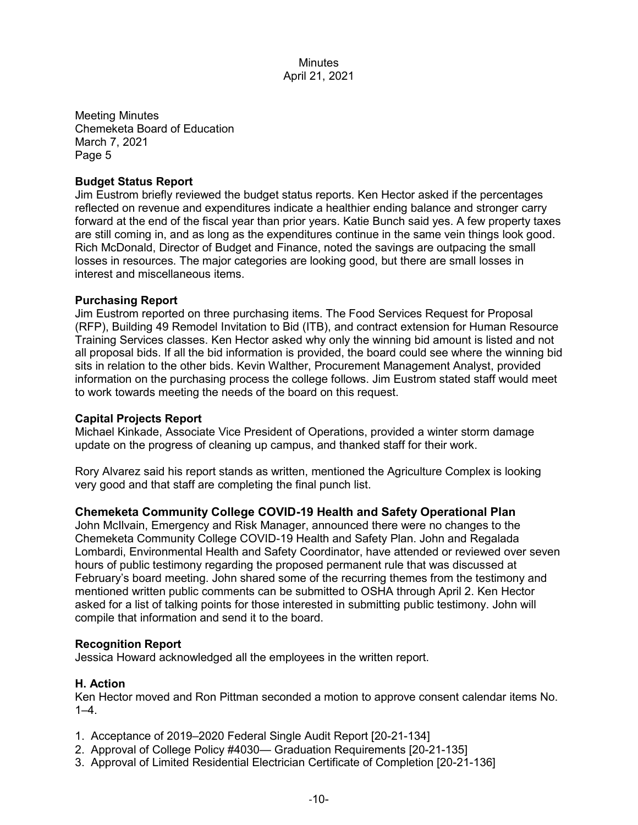Meeting Minutes Chemeketa Board of Education March 7, 2021 Page 5

### **Budget Status Report**

Jim Eustrom briefly reviewed the budget status reports. Ken Hector asked if the percentages reflected on revenue and expenditures indicate a healthier ending balance and stronger carry forward at the end of the fiscal year than prior years. Katie Bunch said yes. A few property taxes are still coming in, and as long as the expenditures continue in the same vein things look good. Rich McDonald, Director of Budget and Finance, noted the savings are outpacing the small losses in resources. The major categories are looking good, but there are small losses in interest and miscellaneous items.

#### **Purchasing Report**

Jim Eustrom reported on three purchasing items. The Food Services Request for Proposal (RFP), Building 49 Remodel Invitation to Bid (ITB), and contract extension for Human Resource Training Services classes. Ken Hector asked why only the winning bid amount is listed and not all proposal bids. If all the bid information is provided, the board could see where the winning bid sits in relation to the other bids. Kevin Walther, Procurement Management Analyst, provided information on the purchasing process the college follows. Jim Eustrom stated staff would meet to work towards meeting the needs of the board on this request.

### **Capital Projects Report**

Michael Kinkade, Associate Vice President of Operations, provided a winter storm damage update on the progress of cleaning up campus, and thanked staff for their work.

Rory Alvarez said his report stands as written, mentioned the Agriculture Complex is looking very good and that staff are completing the final punch list.

# **Chemeketa Community College COVID-19 Health and Safety Operational Plan**

John McIlvain, Emergency and Risk Manager, announced there were no changes to the Chemeketa Community College COVID-19 Health and Safety Plan. John and Regalada Lombardi, Environmental Health and Safety Coordinator, have attended or reviewed over seven hours of public testimony regarding the proposed permanent rule that was discussed at February's board meeting. John shared some of the recurring themes from the testimony and mentioned written public comments can be submitted to OSHA through April 2. Ken Hector asked for a list of talking points for those interested in submitting public testimony. John will compile that information and send it to the board.

#### **Recognition Report**

Jessica Howard acknowledged all the employees in the written report.

# **H. Action**

Ken Hector moved and Ron Pittman seconded a motion to approve consent calendar items No.  $1-4.$ 

- 1. Acceptance of 2019–2020 Federal Single Audit Report [20-21-134]
- 2. Approval of College Policy #4030— Graduation Requirements [20-21-135]
- 3. Approval of Limited Residential Electrician Certificate of Completion [20-21-136]